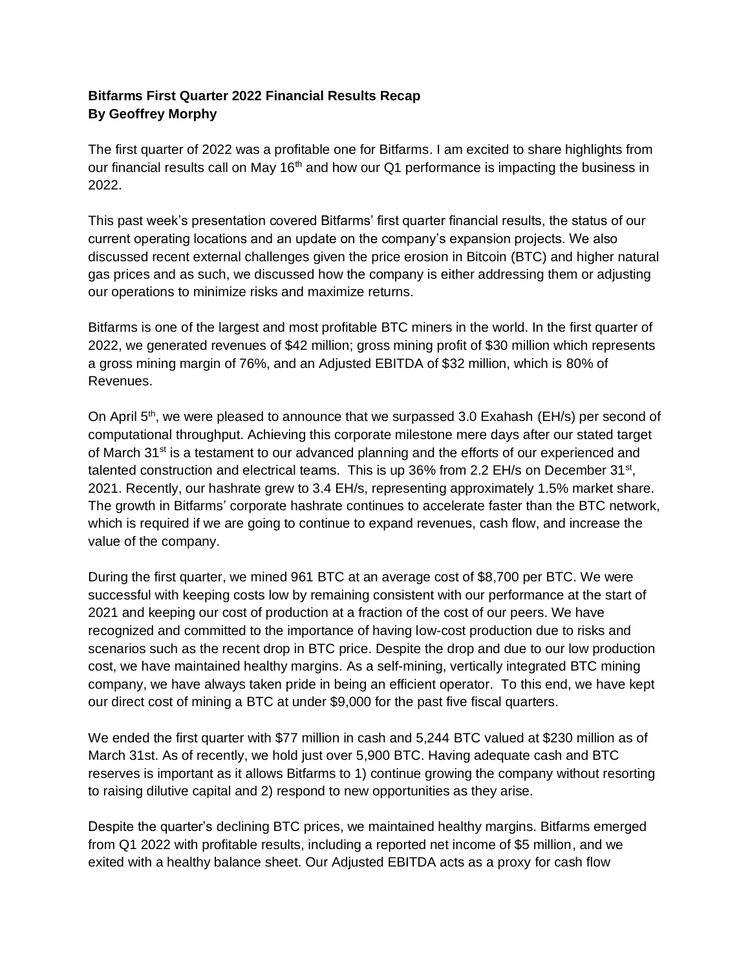## **Bitfarms First Quarter 2022 Financial Results Recap By Geoffrey Morphy**

The first quarter of 2022 was a profitable one for Bitfarms. I am excited to share highlights from our financial results call on May  $16<sup>th</sup>$  and how our Q1 performance is impacting the business in 2022.

This past week's presentation covered Bitfarms' first quarter financial results, the status of our current operating locations and an update on the company's expansion projects. We also discussed recent external challenges given the price erosion in Bitcoin (BTC) and higher natural gas prices and as such, we discussed how the company is either addressing them or adjusting our operations to minimize risks and maximize returns.

Bitfarms is one of the largest and most profitable BTC miners in the world. In the first quarter of 2022, we generated revenues of \$42 million; gross mining profit of \$30 million which represents a gross mining margin of 76%, and an Adjusted EBITDA of \$32 million, which is 80% of Revenues.

On April 5<sup>th</sup>, we were pleased to announce that we surpassed 3.0 Exahash (EH/s) per second of computational throughput. Achieving this corporate milestone mere days after our stated target of March 31<sup>st</sup> is a testament to our advanced planning and the efforts of our experienced and talented construction and electrical teams. This is up 36% from 2.2 EH/s on December  $31<sup>st</sup>$ , 2021. Recently, our hashrate grew to 3.4 EH/s, representing approximately 1.5% market share. The growth in Bitfarms' corporate hashrate continues to accelerate faster than the BTC network, which is required if we are going to continue to expand revenues, cash flow, and increase the value of the company.

During the first quarter, we mined 961 BTC at an average cost of \$8,700 per BTC. We were successful with keeping costs low by remaining consistent with our performance at the start of 2021 and keeping our cost of production at a fraction of the cost of our peers. We have recognized and committed to the importance of having low-cost production due to risks and scenarios such as the recent drop in BTC price. Despite the drop and due to our low production cost, we have maintained healthy margins. As a self-mining, vertically integrated BTC mining company, we have always taken pride in being an efficient operator. To this end, we have kept our direct cost of mining a BTC at under \$9,000 for the past five fiscal quarters.

We ended the first quarter with \$77 million in cash and 5,244 BTC valued at \$230 million as of March 31st. As of recently, we hold just over 5,900 BTC. Having adequate cash and BTC reserves is important as it allows Bitfarms to 1) continue growing the company without resorting to raising dilutive capital and 2) respond to new opportunities as they arise.

Despite the quarter's declining BTC prices, we maintained healthy margins. Bitfarms emerged from Q1 2022 with profitable results, including a reported net income of \$5 million, and we exited with a healthy balance sheet. Our Adjusted EBITDA acts as a proxy for cash flow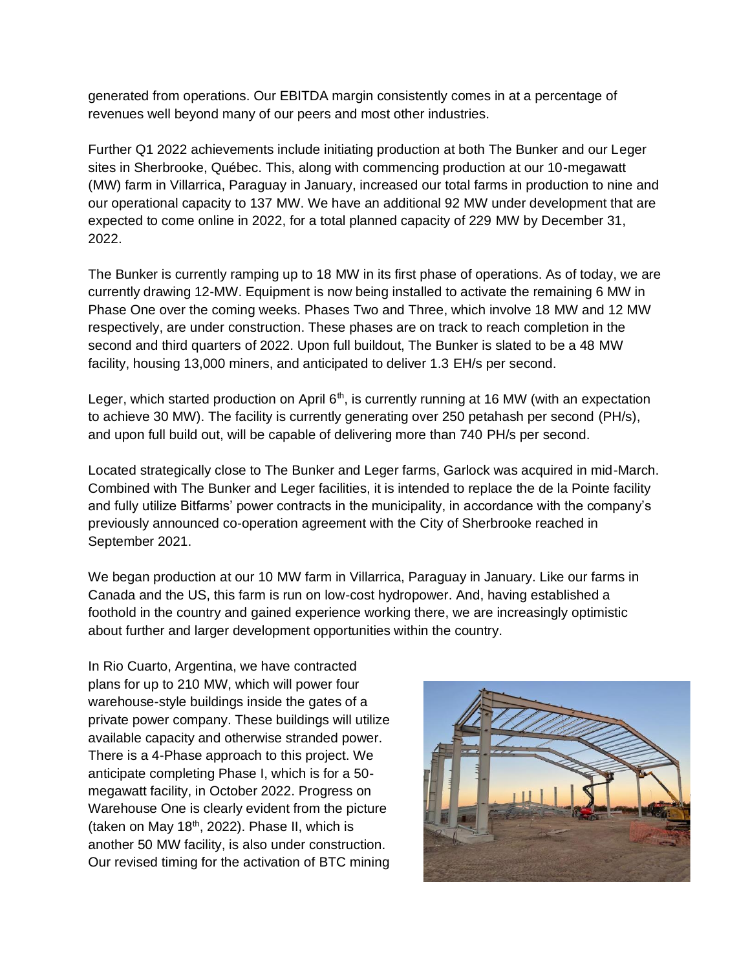generated from operations. Our EBITDA margin consistently comes in at a percentage of revenues well beyond many of our peers and most other industries.

Further Q1 2022 achievements include initiating production at both The Bunker and our Leger sites in Sherbrooke, Québec. This, along with commencing production at our 10-megawatt (MW) farm in Villarrica, Paraguay in January, increased our total farms in production to nine and our operational capacity to 137 MW. We have an additional 92 MW under development that are expected to come online in 2022, for a total planned capacity of 229 MW by December 31, 2022.

The Bunker is currently ramping up to 18 MW in its first phase of operations. As of today, we are currently drawing 12-MW. Equipment is now being installed to activate the remaining 6 MW in Phase One over the coming weeks. Phases Two and Three, which involve 18 MW and 12 MW respectively, are under construction. These phases are on track to reach completion in the second and third quarters of 2022. Upon full buildout, The Bunker is slated to be a 48 MW facility, housing 13,000 miners, and anticipated to deliver 1.3 EH/s per second.

Leger, which started production on April  $6<sup>th</sup>$ , is currently running at 16 MW (with an expectation to achieve 30 MW). The facility is currently generating over 250 petahash per second (PH/s), and upon full build out, will be capable of delivering more than 740 PH/s per second.

Located strategically close to The Bunker and Leger farms, Garlock was acquired in mid-March. Combined with The Bunker and Leger facilities, it is intended to replace the de la Pointe facility and fully utilize Bitfarms' power contracts in the municipality, in accordance with the company's previously announced co-operation agreement with the City of Sherbrooke reached in September 2021.

We began production at our 10 MW farm in Villarrica, Paraguay in January. Like our farms in Canada and the US, this farm is run on low-cost hydropower. And, having established a foothold in the country and gained experience working there, we are increasingly optimistic about further and larger development opportunities within the country.

In Rio Cuarto, Argentina, we have contracted plans for up to 210 MW, which will power four warehouse-style buildings inside the gates of a private power company. These buildings will utilize available capacity and otherwise stranded power. There is a 4-Phase approach to this project. We anticipate completing Phase I, which is for a 50 megawatt facility, in October 2022. Progress on Warehouse One is clearly evident from the picture (taken on May  $18<sup>th</sup>$ , 2022). Phase II, which is another 50 MW facility, is also under construction. Our revised timing for the activation of BTC mining